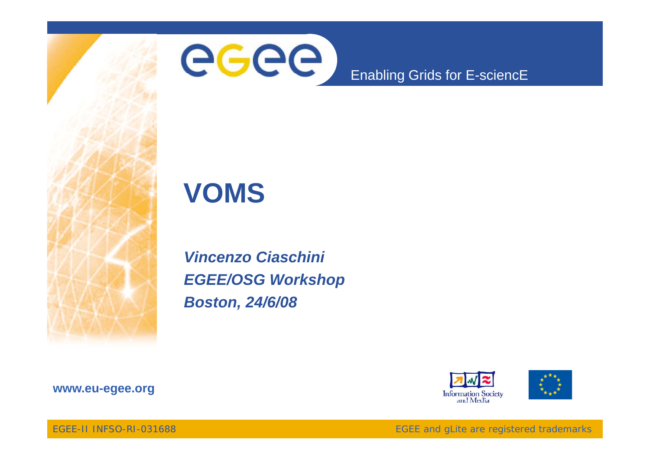

# **VOMS**

*Vincenzo Ciaschini EGEE/OSG Workshop Boston, 24/6/08*

**Information Society**<br>and Media



**www eu egee org www.eu-egee.org**

EGEE-II INFSO-RI-031688

EGEE and gLite are registered trademarks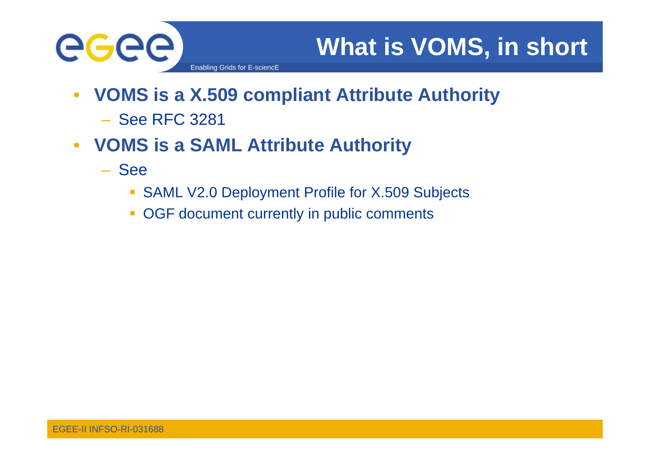

- **VOMS is a X.509 compliant Attribute Authority**
	- See RFC 3281
- **VOMS is a SAML Attribute Authority**
	- See
		- **SAML V2.0 Deployment Profile for X.509 Subjects**
		- **OGF document currently in public comments**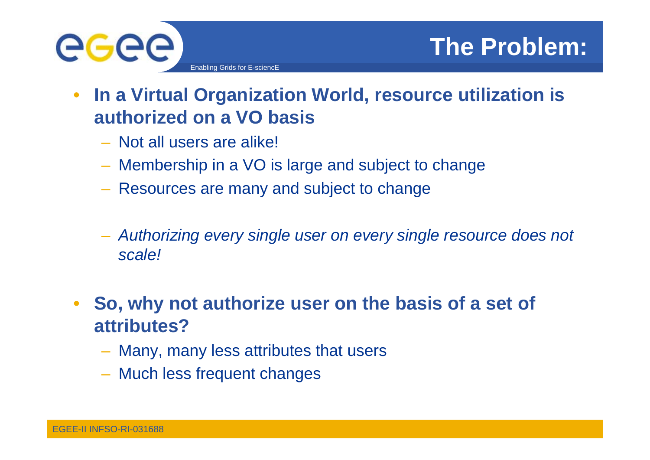

- $\bullet$  **In a Virtual Organization World, resource utilization is authorized on a VO basis**
	- Not all users are alike!
	- Membership in a VO is large and subject to change
	- Resources are many and subject to change
	- *A th i i i l i l d t Authorizing every single user on every single resource does not scale!*
- $\bullet$  **So, why not authorize user on the basis of a set of attributes?**
	- Many, many less attributes that users
	- Much less frequent changes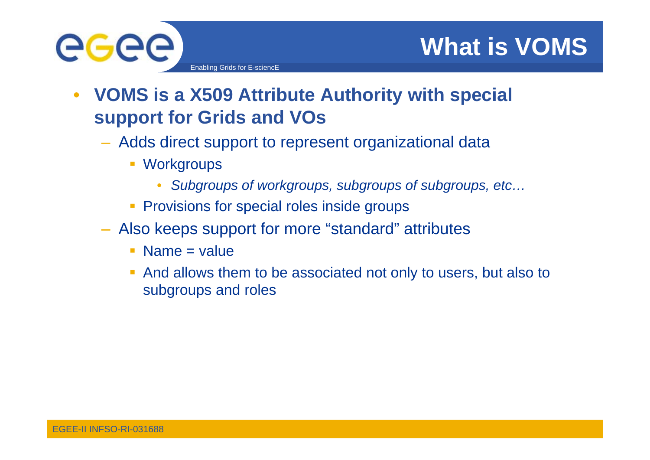

- $\bullet$  **VOMS is a X509 Attribute Authority with special support for Grids and VOs**
	- Adds direct support to represent organizational data
		- **Workgroups** 
			- •*Subgroups of workgroups, subgroups of subgroups, etc…*
		- **Provisions for special roles inside groups**
	- Also keeps support for more "standard" attributes
		- Name = value
		- And allows them to be associated not only to users, but also to subgroups and roles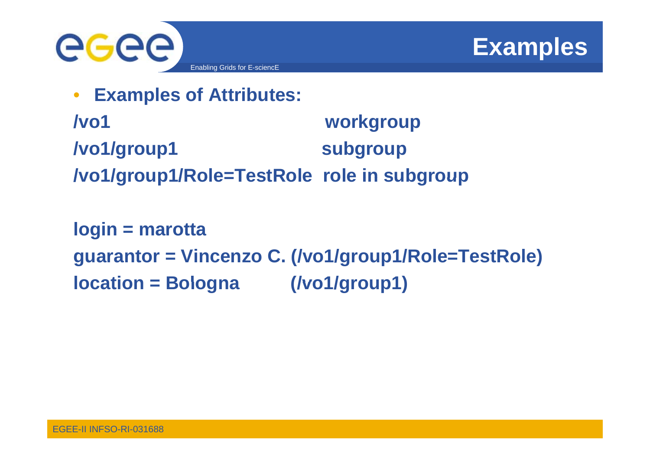

**Examples**

•**Examples of Attributes:**

**/vo1 workgroup /vo1/group1 subgroup /vo1/group1/Role=TestRole role in subgroup /Role=TestRole**

**login <sup>=</sup> marotta guarantor = Vincenzo C. (/vo1/group1/Role=TestRole) location <sup>=</sup> Bologna (/vo (/vo1/group1)**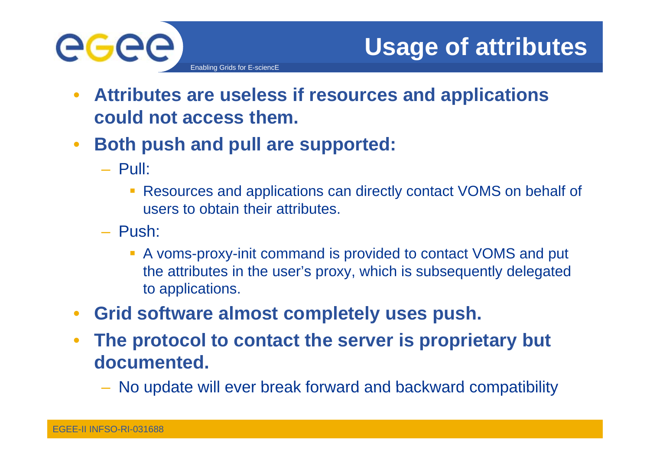

- $\bullet$  **Attributes are useless if resources and applications could not access them.**
- $\bullet$  **Both push and pull are supported:**
	- Pull:
		- Resources and applications can directly contact VOMS on behalf of users to obtain their attributes.
	- Push:
		- A voms-proxy-init command is provided to contact VOMS and put the attributes in the user's proxy, which is subsequently delegated to applications.
- $\bullet$ **Grid software almost completely uses push.**
- $\bullet$ The protocol to contact the server is proprietary but **documented.**
	- No update will ever break forward and backward compatibility – No update will ever break forward and backward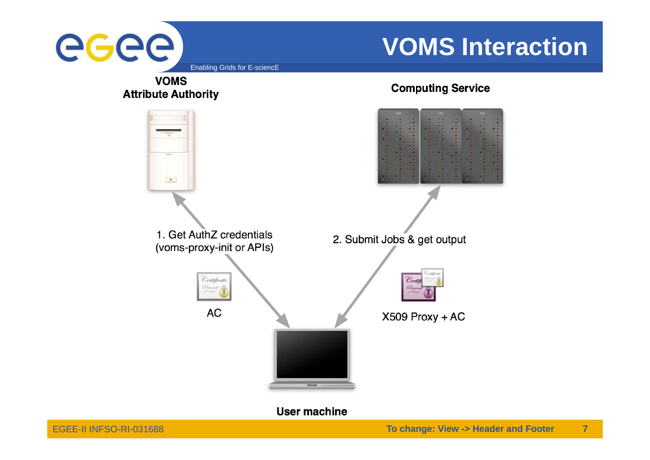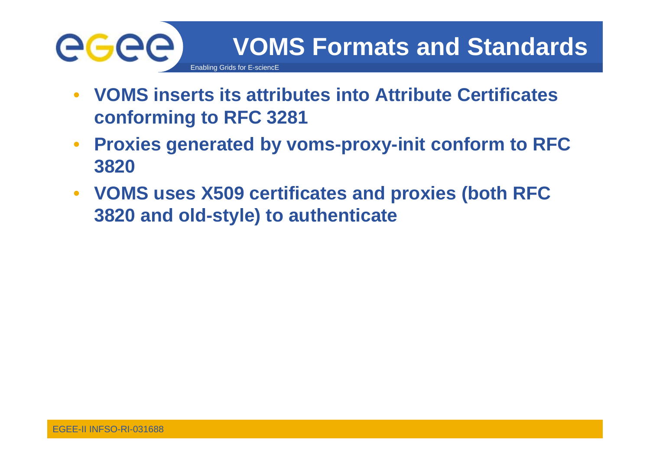

- **VOMS inserts its attributes into Attribute Certificates conforming to RFC 3281**
- $\bullet$  **Proxies generated by voms-proxy-init conform to RFC 3820**
- **VOMS uses X509 certificates and proxies (both RFC 3820 and old-style) to authenticate**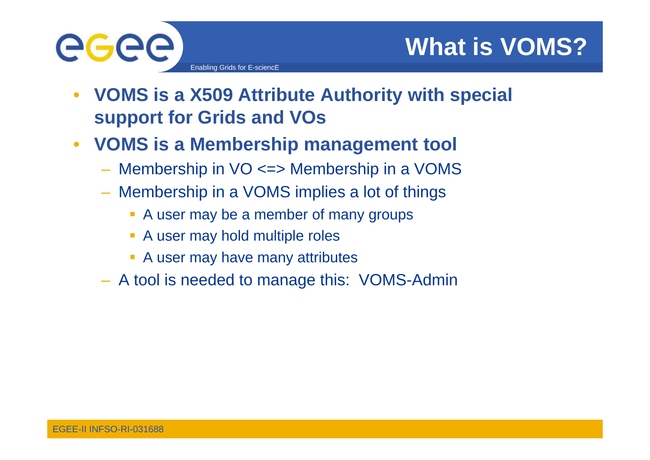

- $\bullet$  **VOMS is a X509 Attribute Authority with special support for Grids and VOs**
- $\bullet$  **VOMS is a Membership management tool**
	- Membership in VO <=> Membership in a VOMS
	- Membership in a VOMS implies a lot of things
		- **A** user may be a member of many groups
		- **A** user may hold multiple roles

- **A** user may have many attributes
- A tool is needed to manage this: VOMS VOMS-Admin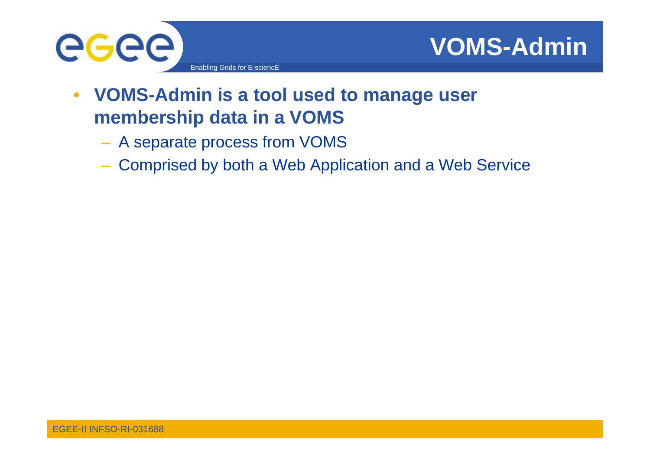

- **VOMS-Admin is a tool used to manage user membership data in a VOMS**
	- A separate process from VOMS
	- Comprised by both a Web Application and a Web Service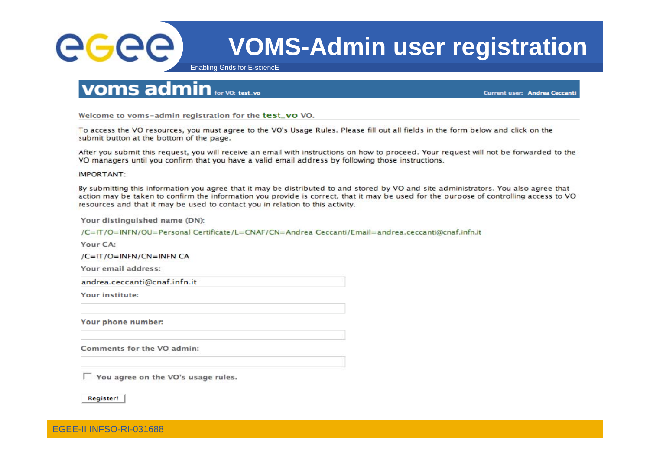

## **VOMS-Admin user registration**

Enabling Grids for E-sciencE

#### **VOMS admin** for volust.vo

**Current user: Andrea Ceccanti** 

Welcome to voms-admin registration for the test\_vo VO.

To access the VO resources, you must agree to the VO's Usage Rules. Please fill out all fields in the form below and click on the submit button at the bottom of the page.

After you submit this request, you will receive an email with instructions on how to proceed. Your request will not be forwarded to the VO managers until you confirm that you have a valid email address by following those instructions.

IMPORTANT:

By submitting this information you agree that it may be distributed to and stored by VO and site administrators. You also agree that action may be taken to confirm the information you provide is correct, that it may be used for the purpose of controlling access to VO resources and that it may be used to contact you in relation to this activity.

Your distinguished name (DN):

/C=IT/O=INFN/OU=Personal Certificate/L=CNAF/CN=Andrea Ceccanti/Email=andrea.ceccanti@cnaf.infn.it

Your CA:

 $/C=IT/O=INTN/CN=INTN CA$ 

Your email address:

andrea.ceccanti@cnaf.infn.it

Your institute:

Your phone number:

Comments for the VO admin:

 $\Gamma$  You agree on the VO's usage rules.

Register!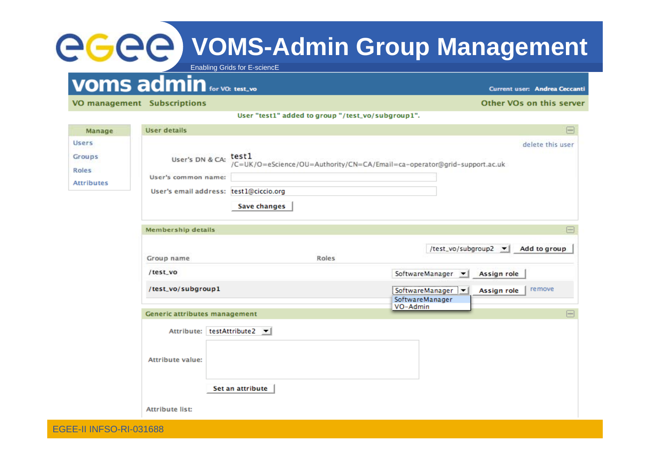# **VOMS-Admin Group Management**

Enabling Grids for E-sciencE

### VOMS admin for VO: test\_vo

**Current user: Andrea Ceccanti** 

VO management Subscriptions

Other VOs on this server

User "test1" added to group "/test\_vo/subgroup1".

| Manage                                               | <b>User details</b>                                                                                    |       |                                                                          | ⊟                |
|------------------------------------------------------|--------------------------------------------------------------------------------------------------------|-------|--------------------------------------------------------------------------|------------------|
| <b>Users</b><br>Groups<br>Roles<br><b>Attributes</b> | User's DN & CA: test1<br>User's common name:<br>User's email address: test1@ciccio.org<br>Save changes |       | /C=UK/O=eScience/OU=Authority/CN=CA/Email=ca-operator@grid-support.ac.uk | delete this user |
|                                                      | <b>Membership details</b>                                                                              |       |                                                                          | ⊟                |
|                                                      | Group name                                                                                             | Roles | /test_vo/subgroup2 v                                                     | Add to group     |
|                                                      | /test_vo                                                                                               |       | SoftwareManager<br>Assign role                                           |                  |
|                                                      | /test_vo/subgroup1                                                                                     |       | SoftwareManager  <br>Assign role<br>SoftwareManager<br>VO-Admin          | remove           |
|                                                      | Generic attributes management                                                                          |       |                                                                          | 曲                |
|                                                      | Attribute: testAttribute2 -<br>Attribute value:<br>Set an attribute                                    |       |                                                                          |                  |
|                                                      | <b>Attribute list:</b>                                                                                 |       |                                                                          |                  |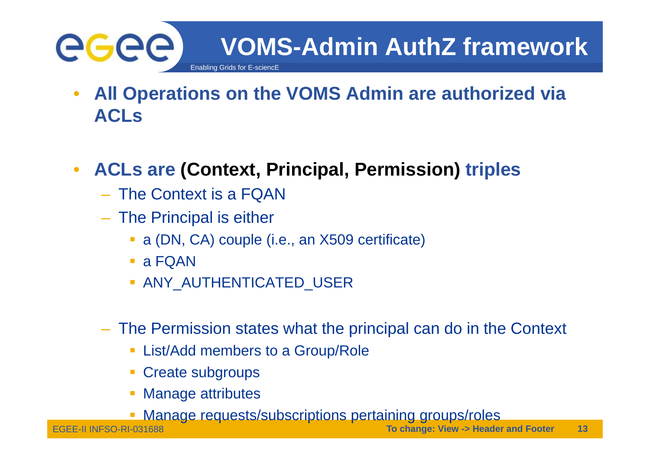

- • **All Operations on the VOMS Admin are authorized via ACLs**
- $\bullet$ **ACLs are (Context, Principal, Permission) triples** 
	- The Context is a FQAN
	- The Principal is either
		- a (DN, CA) couple (i.e., an X509 certificate)
		- a FQAN
		- **ANY AUTHENTICATED USER**
	- – The Permission states what the principal can do in the Context Context
		- **List/Add members to a Group/Role**
		- **Create subgroups**
		- π Manage attributes
		- **Manage requests/subscriptions pertaining groups/roles**

EGEE-II INFSO-RI-031688

**To change: View -> Header and Footer 13**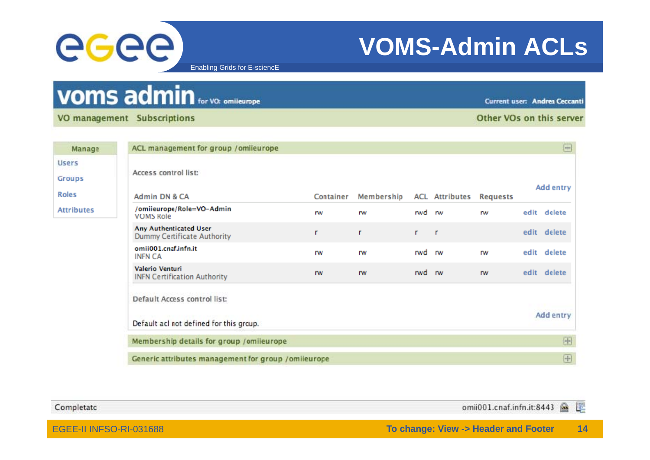

## **VOMS-Admin ACLs**

Enabling Grids for E-sciencE

## VOMS admin for VO: omileurope

Current user: Andrea Ceccanti

VO management Subscriptions

Other VOs on this server

| Manage          | ACL management for group /omileurope                   |           |            |        |                       |                 | $\Box$      |
|-----------------|--------------------------------------------------------|-----------|------------|--------|-----------------------|-----------------|-------------|
| Jsers<br>Groups | Access control list:                                   |           |            |        |                       |                 | Add entry   |
| toles           | Admin DN & CA                                          | Container | Membership |        | <b>ACL Attributes</b> | <b>Requests</b> |             |
| Attributes      | /omiieurope/Role=VO-Admin<br><b>VOMS Role</b>          | rw        | rw         | rwd rw |                       | rw              | edit delete |
|                 | Any Authenticated User<br>Dummy Certificate Authority  | г         | r          | r      | $\mathsf{r}$          |                 | edit delete |
|                 | omii001.cnaf.infn.it<br><b>INFN CA</b>                 | <b>rw</b> | rw         | rwd rw |                       | rw              | edit delete |
|                 | Valerio Venturi<br><b>INFN Certification Authority</b> | <b>IW</b> | <b>IW</b>  | rwd rw |                       | <b>rw</b>       | edit delete |
|                 | Default Access control list:                           |           |            |        |                       |                 |             |
|                 | Default acl not defined for this group.                |           |            |        |                       |                 | Add entry   |
|                 | Membership details for group /omileurope               |           |            |        |                       |                 | 田           |
|                 | Generic attributes management for group /omileurope    |           |            |        |                       |                 | 田           |

| Completato                     | omii001.cnaf.infn.it:8443            |  |  |  |  |
|--------------------------------|--------------------------------------|--|--|--|--|
| <b>EGEE-II INFSO-RI-031688</b> | To change: View -> Header and Footer |  |  |  |  |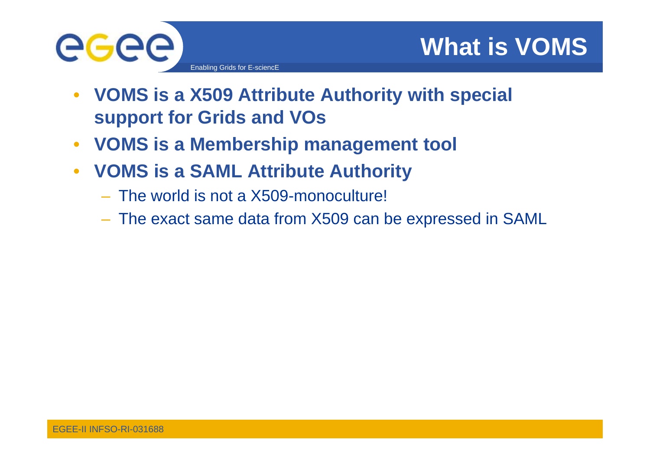

- **VOMS is a X509 Attribute Authority with special support for Grids and VOs**
- **VOMS is a Membership management tool**
- **VOMS is a SAML Attribute Authority** 
	- The world is not a X509-monoculture!
	- The exact same data from X509 can be expressed in SAML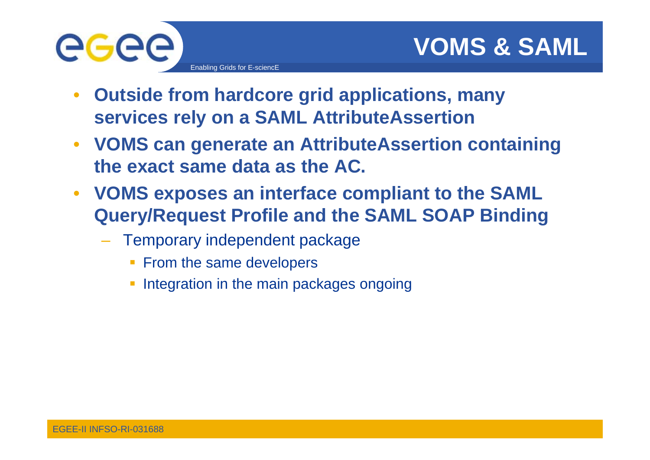

- $\bullet$  **Outside from hardcore grid applications, many services rely on a SAML AttributeAssertion**
- **VOMS can generate an AttributeAssertion containing the exact same data as the AC.**
- **VOMS exposes an interface compliant to the SAML Query/Request Profile and the SAML SOAP Binding**
	- Temporary independent package
		- **From the same developers**
		- **Integration in the main packages ongoing**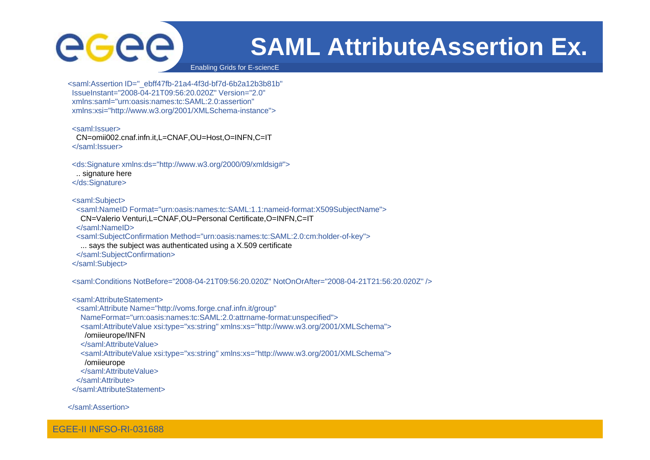# egee

## **SAML AttributeAssertion Ex.**

Enabling Grids for E-sciencE

<saml:Assertion ID="\_ebff47fb-21a4-4f3d-bf7d-6b2a12b3b81b" IssueInstant="2008-04-21T09:56:20.020Z" Version="2.0"xmlns:saml="urn:oasis:names:tc:SAML:2.0:assertion"xmlns:xsi="http://www.w3.org/2001/XMLSchema-instance">

```
<saml:Issuer>
```
CN=omii002.cnaf.infn.it,L=CNAF,OU=Host,O=INFN,C=IT </saml:Issuer>

<ds:Signature xmlns:ds="http://www.w3.org/2000/09/xmldsig#"> .. signature here </ds:Signature>

<saml:Subject>

```
<saml:NameID Format="urn:oasis:names:tc:SAML:1.1:nameid-format:X509SubjectName">
  CN=Valerio Venturi,L=CNAF,OU=Personal Certificate,O=INFN,C=IT
 </saml:NameID><saml:SubjectConfirmation Method="urn:oasis:names:tc:SAML:2.0:cm:holder-of-key">
  ... says the subject was authenticated using a X.509 certificate
 </saml:SubjectConfirmation>
</saml:Subject>
```
<saml:Conditions NotBefore="2008-04-21T09:56:20.020Z" NotOnOrAfter="2008-04-21T21:56:20.020Z" />

<saml:AttributeStatement><saml:Attribute Name="http://voms.forge.cnaf.infn.it/group" NameFormat="urn:oasis:names:tc:SAML:2.0:attrname-format:unspecified"> <saml:AttributeValue xsi:type="xs:string" xmlns:xs="http://www.w3.org/2001/XMLSchema"> /omiieurope/INFN </saml:AttributeValue> <saml:AttributeValue xsi:type="xs:string" xmlns:xs="http://www.w3.org/2001/XMLSchema"> /omiieurope </saml:AttributeValue></saml:Attribute> </saml:AttributeStatement>

</saml:Assertion>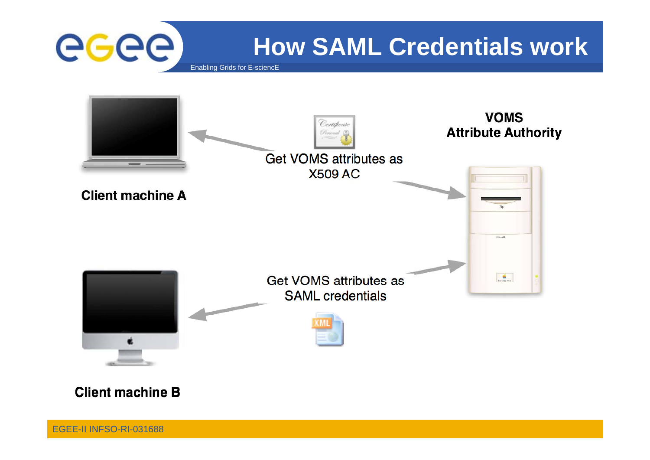



**Client machine B**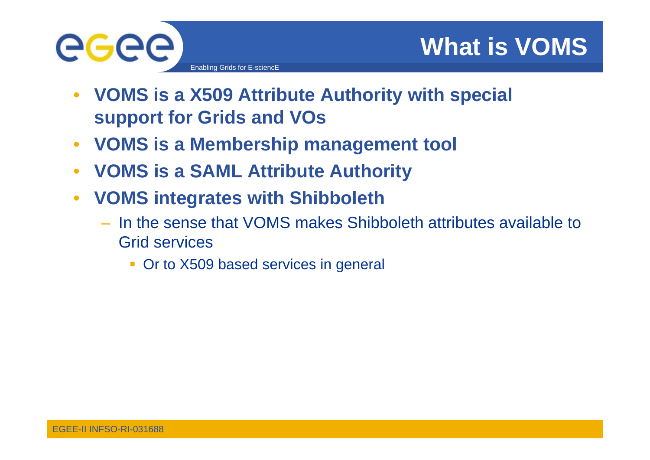

- **VOMS is a X509 Attribute Authority with special support for Grids and VOs**
- **VOMS is a Membership management tool**
- **VOMS is a SAML Attribute Authority**
- $\bullet$  **VOMS integrates with Shibboleth**
	- In the sense that VOMS makes Shibboleth attributes available to Grid services
		- **Or to X509 based services in general**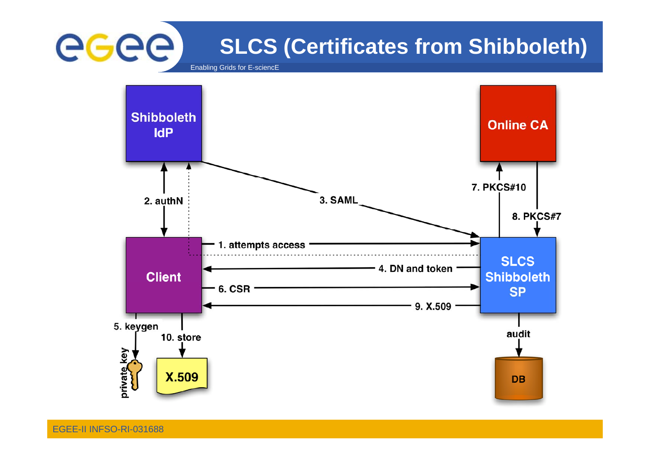## **SLCS (Certificates from Shibboleth)**

egee Enabling Grids for E-sciencE

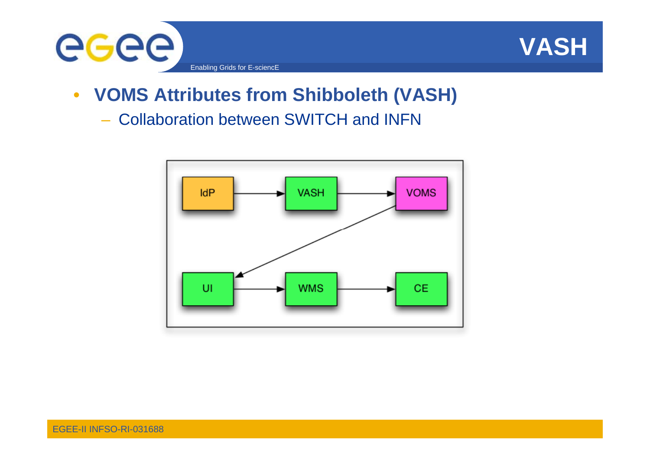

**VASH**

## • **VOMS Attributes from Shibboleth (VASH)**

– Collaboration between SWITCH and INFN

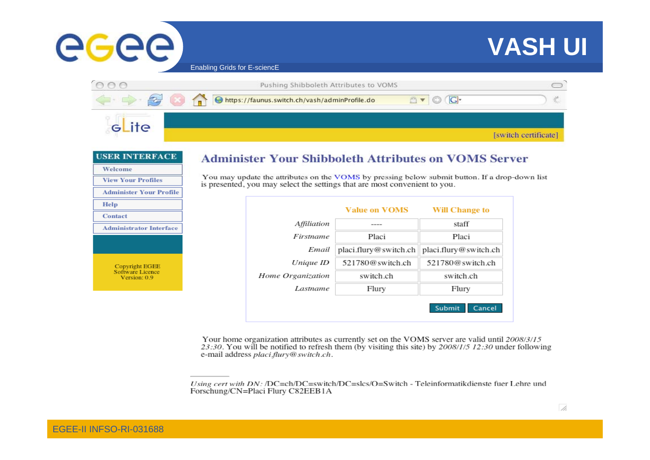# **VASH UI**

Enabling Grids for E-sciencE



| <b>USER INTERFACE</b>                                     |
|-----------------------------------------------------------|
| Welcome                                                   |
| <b>View Your Profiles</b>                                 |
| <b>Administer Your Profile</b>                            |
| Help                                                      |
| Contact                                                   |
| <b>Administrator Interface</b>                            |
|                                                           |
| <b>Copyright EGEE</b><br>Software Licence<br>Version: 0.9 |

egee

#### **Administer Your Shibboleth Attributes on VOMS Server**

You may update the attributes on the VOMS by pressing below submit button. If a drop-down list is presented, you may select the settings that are most convenient to you.

|                   | <b>Value on VOMS</b>  | <b>Will Change to</b> |
|-------------------|-----------------------|-----------------------|
| Affiliation       | ----                  | staff                 |
| Firstname         | Placi                 | Placi                 |
| Email             | placi.flury@switch.ch | placi.flury@switch.ch |
| Unique ID         | 521780@switch.ch      | 521780@switch.ch      |
| Home Organization | switch.ch             | switch.ch             |
| Lastname          | Flury                 | Flury                 |

Your home organization attributes as currently set on the VOMS server are valid until 2008/3/15 23:30. You will be notified to refresh them (by visiting this site) by 2008/1/5 12:30 under following e-mail address placi.flury@switch.ch.

Using cert with DN: /DC=ch/DC=switch/DC=slcs/O=Switch - Teleinformatikdienste fuer Lehre und Forschung/CN=Placi Flury C82EEB1A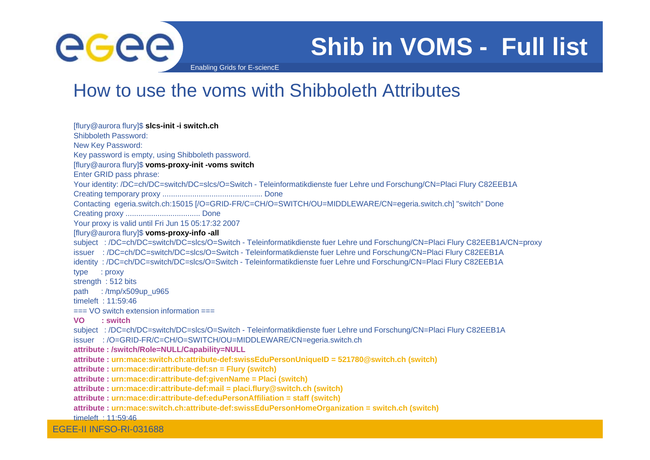

## **Shib in VOMS - Full list**

Enabling Grids for E-sciencE

#### How to use the voms with Shibboleth Attributes

[flury@aurora flury]\$ **slcs-init -i switch ch i switch.ch** Shibboleth Password: New Key Password: Key password is empty, using Shibboleth password. [flury@aurora flury]\$ **voms-proxy-init -voms switch** Enter GRID pass phrase: Your identity: /DC=ch/DC=switch/DC=slcs/O=Switch - Teleinformatikdienste fuer Lehre und Forschung/CN=Placi Flury C82EEB1A Creating temporary proxy ............................................... Done Contacting egeria.switch.ch:15015 [/O=GRID-FR/C=CH/O=SWITCH/OU=MIDDLEWARE/CN=egeria.switch.ch] "switch" Done Creating proxy ................................... Done Your proxy is valid until Fri Jun 15 05:17:32 2007 [flury@aurora flury]\$ **voms-proxy-info -all** subject : /DC=ch/DC=switch/DC=slcs/O=Switch - Teleinformatikdienste fuer Lehre und Forschung/CN=Placi Flury C82EEB1A/CN=proxy issuer : /DC=ch/DC=switch/DC=slcs/O=Switch - Teleinformatikdienste fuer Lehre und Forschung/CN=Placi Flury C82EEB1A identity : /DC=ch/DC=switch/DC=slcs/O=Switch - Teleinformatikdienste fuer Lehre und Forschung/CN=Placi Flury C82EEB1A type : proxy strength : 512 bits path :/tmp/x509up\_u965 timeleft : 11:59:46 $==$  VO switch extension information  $==$ **VO : switch**subject : /DC=ch/DC=switch/DC=slcs/O=Switch - Teleinformatikdienste fuer Lehre und Forschung/CN=Placi Flury C82EEB1A issuer : /O=GRID-FR/C=CH/O=SWITCH/OU=MIDDLEWARE/CN=egeria.switch.ch **attribute : /switch/Role=NULL/Capability=NULL attribute : urn:mace:switch.ch:attribute-def:swissEduPersonUniqueID = 521780@switch.ch (switch) attribute : urn:mace:dir:attribute-def:sn = Flury (switch) attribute : urn:mace:dir:attribute-def:givenName = Placi (switch)** attribute : urn:mace:dir:attribute-def:mail = placi.flury@switch.ch (switch)<br>attribute : urn:mace:dir:attribute-def:eduPersonAffiliation = staff (switch) **urn:mace:dir:attribute-def:eduPersonAffiliation = staff (switch) attribute : urn:mace:switch.ch:attribute-def:swissEduPersonHomeOrganization = switch.ch (switch)** timeleft : 11:59:46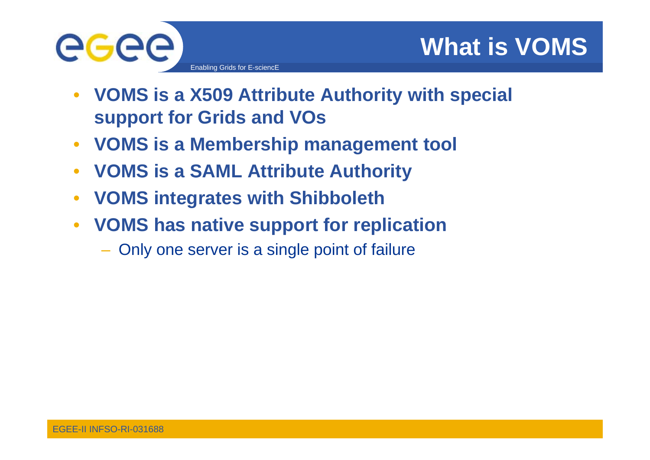

- **VOMS is a X509 Attribute Authority with special support for Grids and VOs**
- **VOMS is a Membership management tool**
- $\bullet$ **VOMS** is a SAML Attribute Authority

- $\bullet$ **VOMS integrates with Shibboleth**
- **VOMS has native support for replication**
	- Only one server is a single point of failure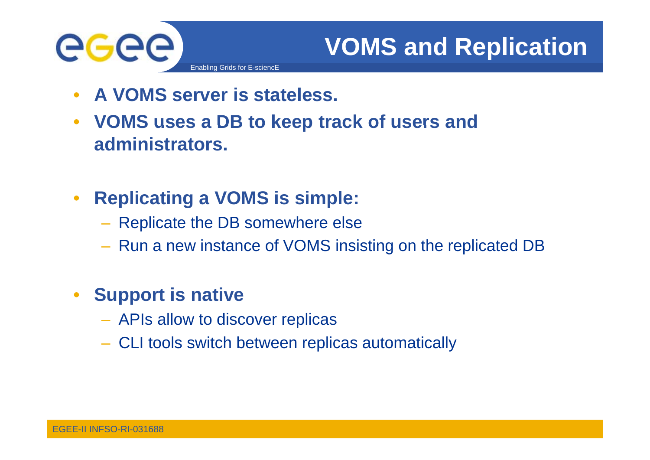

## **VOMS and Replication**

- $\bullet$ **A VOMS server is stateless.**
- $\bullet$  **VOMS uses <sup>a</sup> DB to keep track of users and administrators.**
- $\bullet$  **Replicating a VOMS is simple:**
	- Replicate the DB somewhere else
	- Run a new instance of VOMS insisting on the replicated DB

#### $\bullet$ **Support is native**

- APIs allow to discover replicas
- CLI tools switch between replicas automatically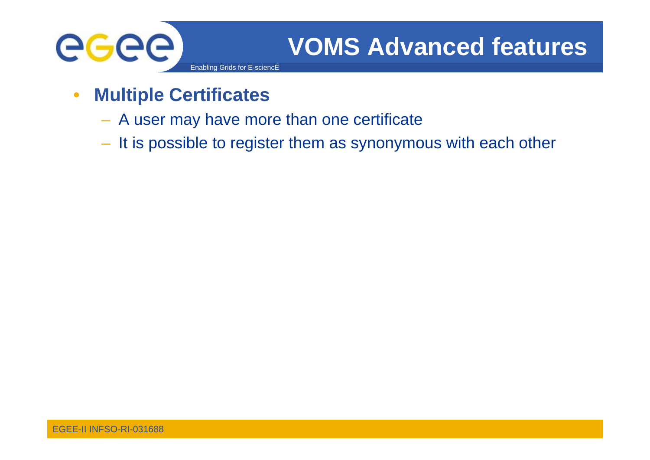

- • **Multiple Certificates**
	- A user may have more than one certificate
	- $-$  It is possible to register them as synonymous with each other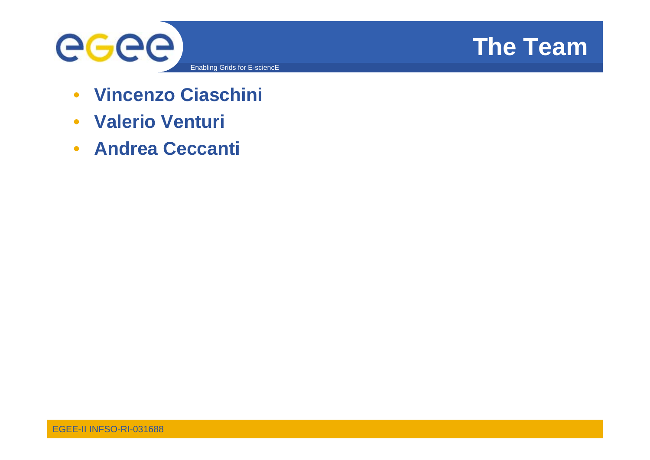

## **The Team**

- **Vincenzo Ciaschini**
- **Valerio Venturi**
- **Andrea Ceccanti**